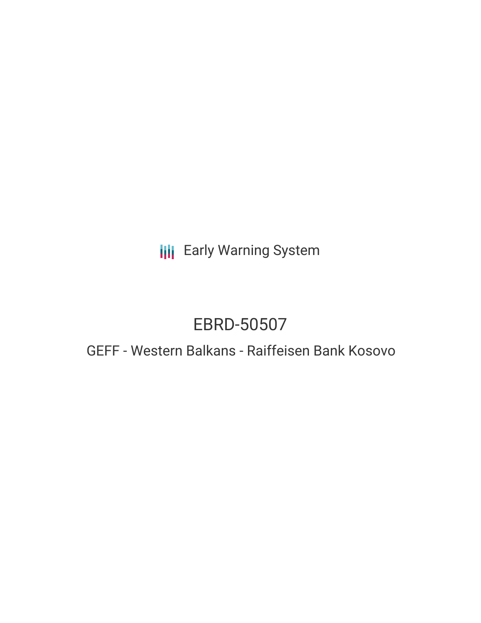**III** Early Warning System

# EBRD-50507

# GEFF - Western Balkans - Raiffeisen Bank Kosovo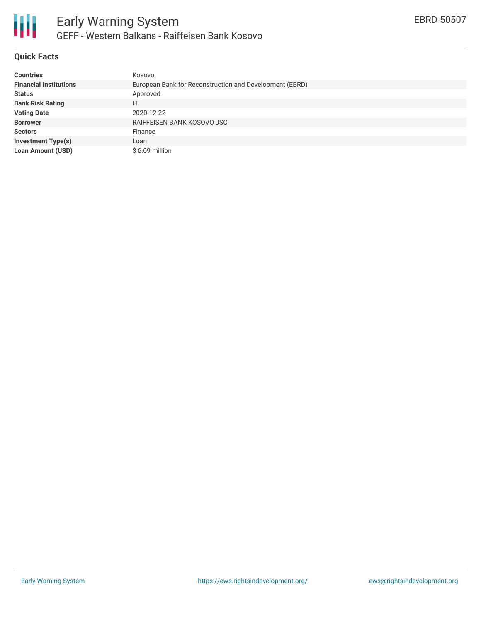

### **Quick Facts**

| <b>Countries</b>              | Kosovo                                                  |
|-------------------------------|---------------------------------------------------------|
| <b>Financial Institutions</b> | European Bank for Reconstruction and Development (EBRD) |
| <b>Status</b>                 | Approved                                                |
| <b>Bank Risk Rating</b>       | FI                                                      |
| <b>Voting Date</b>            | 2020-12-22                                              |
| <b>Borrower</b>               | RAIFFEISEN BANK KOSOVO JSC                              |
| <b>Sectors</b>                | Finance                                                 |
| <b>Investment Type(s)</b>     | Loan                                                    |
| <b>Loan Amount (USD)</b>      | $$6.09$ million                                         |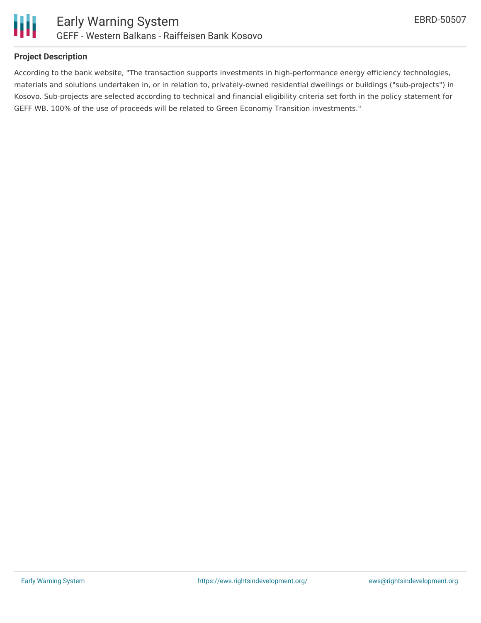

### **Project Description**

According to the bank website, "The transaction supports investments in high-performance energy efficiency technologies, materials and solutions undertaken in, or in relation to, privately-owned residential dwellings or buildings ("sub-projects") in Kosovo. Sub-projects are selected according to technical and financial eligibility criteria set forth in the policy statement for GEFF WB. 100% of the use of proceeds will be related to Green Economy Transition investments."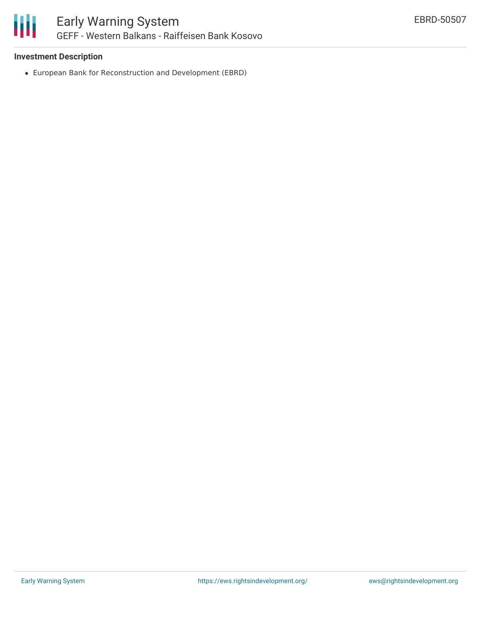

## **Investment Description**

European Bank for Reconstruction and Development (EBRD)